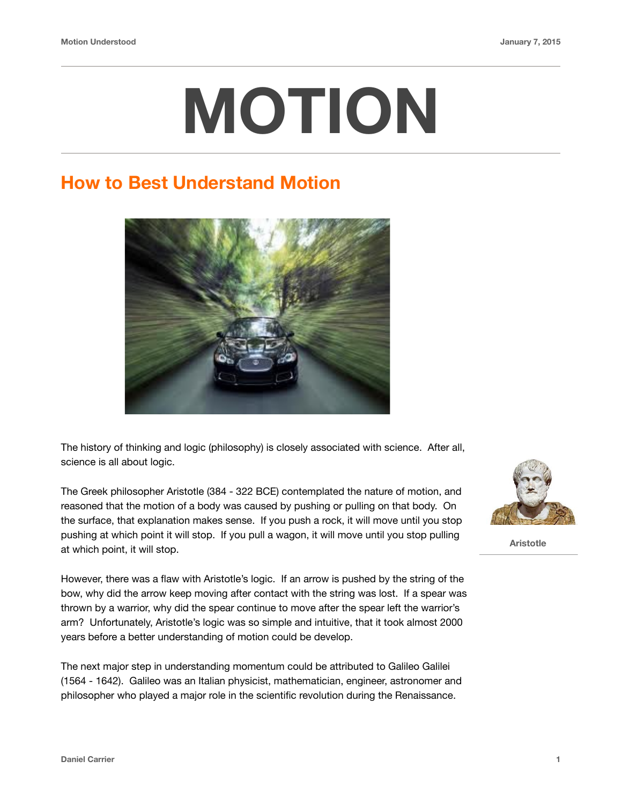# **MOTION**

#### **How to Best Understand Motion**



The history of thinking and logic (philosophy) is closely associated with science. After all, science is all about logic.

The Greek philosopher Aristotle (384 - 322 BCE) contemplated the nature of motion, and reasoned that the motion of a body was caused by pushing or pulling on that body. On the surface, that explanation makes sense. If you push a rock, it will move until you stop pushing at which point it will stop. If you pull a wagon, it will move until you stop pulling at which point, it will stop.

However, there was a flaw with Aristotle's logic. If an arrow is pushed by the string of the bow, why did the arrow keep moving after contact with the string was lost. If a spear was thrown by a warrior, why did the spear continue to move after the spear left the warrior's arm? Unfortunately, Aristotle's logic was so simple and intuitive, that it took almost 2000 years before a better understanding of motion could be develop.

The next major step in understanding momentum could be attributed to Galileo Galilei (1564 - 1642). Galileo was an Italian physicist, mathematician, engineer, astronomer and philosopher who played a major role in the scientific revolution during the Renaissance.



 **Aristotle**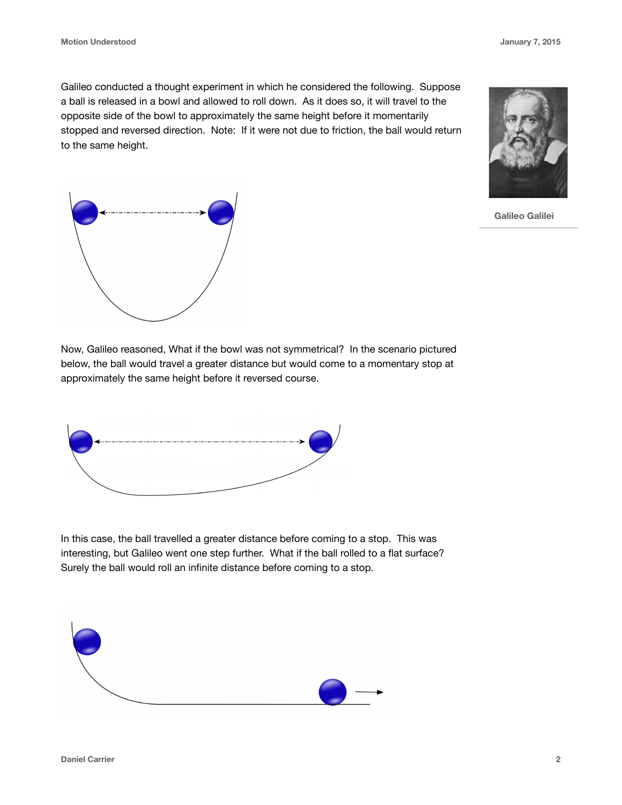Galileo conducted a thought experiment in which he considered the following. Suppose a ball is released in a bowl and allowed to roll down. As it does so, it will travel to the opposite side of the bowl to approximately the same height before it momentarily stopped and reversed direction. Note: If it were not due to friction, the ball would return to the same height.







Now, Galileo reasoned, What if the bowl was not symmetrical? In the scenario pictured below, the ball would travel a greater distance but would come to a momentary stop at approximately the same height before it reversed course.



In this case, the ball travelled a greater distance before coming to a stop. This was interesting, but Galileo went one step further. What if the ball rolled to a flat surface? Surely the ball would roll an infinite distance before coming to a stop.

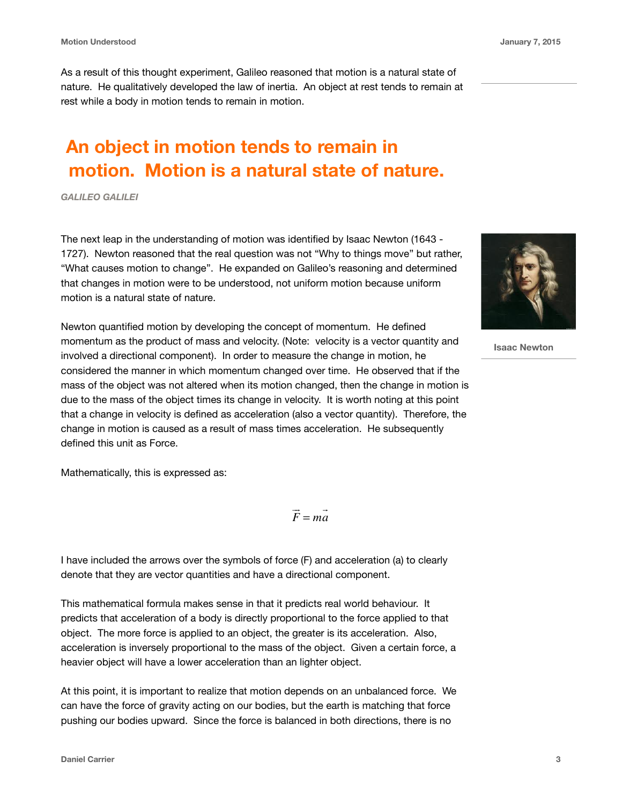As a result of this thought experiment, Galileo reasoned that motion is a natural state of nature. He qualitatively developed the law of inertia. An object at rest tends to remain at rest while a body in motion tends to remain in motion.

### **An object in motion tends to remain in motion. Motion is a natural state of nature.**

*GALILEO GALILEI*

The next leap in the understanding of motion was identified by Isaac Newton (1643 - 1727). Newton reasoned that the real question was not "Why to things move" but rather, "What causes motion to change". He expanded on Galileo's reasoning and determined that changes in motion were to be understood, not uniform motion because uniform motion is a natural state of nature.

Newton quantified motion by developing the concept of momentum. He defined momentum as the product of mass and velocity. (Note: velocity is a vector quantity and involved a directional component). In order to measure the change in motion, he considered the manner in which momentum changed over time. He observed that if the mass of the object was not altered when its motion changed, then the change in motion is due to the mass of the object times its change in velocity. It is worth noting at this point that a change in velocity is defined as acceleration (also a vector quantity). Therefore, the change in motion is caused as a result of mass times acceleration. He subsequently defined this unit as Force.

Mathematically, this is expressed as:

*F* !<br>!! = *ma*  $\rightarrow$ 

I have included the arrows over the symbols of force (F) and acceleration (a) to clearly denote that they are vector quantities and have a directional component.

This mathematical formula makes sense in that it predicts real world behaviour. It predicts that acceleration of a body is directly proportional to the force applied to that object. The more force is applied to an object, the greater is its acceleration. Also, acceleration is inversely proportional to the mass of the object. Given a certain force, a heavier object will have a lower acceleration than an lighter object.

At this point, it is important to realize that motion depends on an unbalanced force. We can have the force of gravity acting on our bodies, but the earth is matching that force pushing our bodies upward. Since the force is balanced in both directions, there is no





 **Isaac Newton**